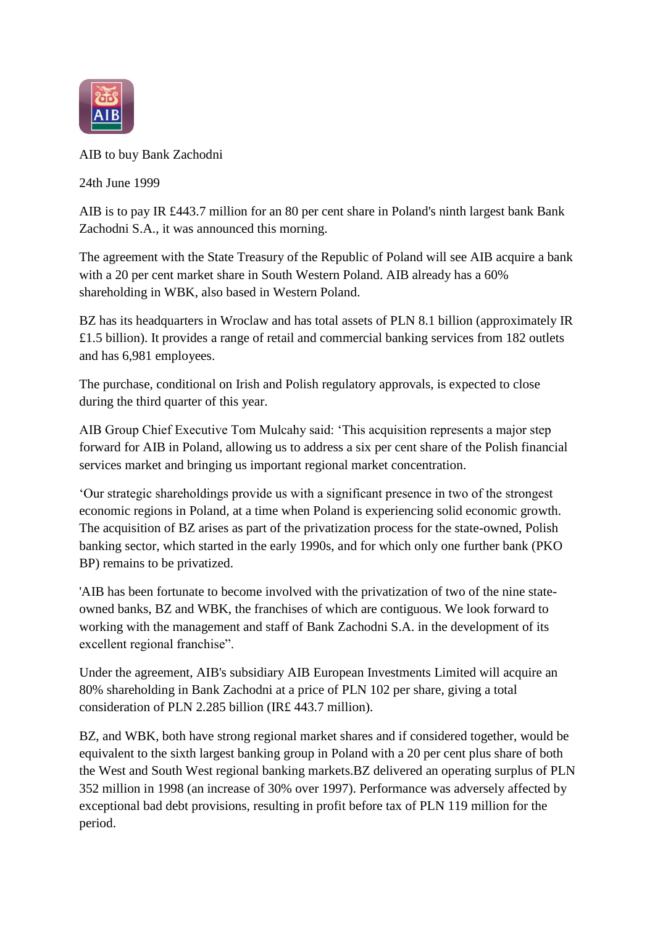

AIB to buy Bank Zachodni

24th June 1999

AIB is to pay IR £443.7 million for an 80 per cent share in Poland's ninth largest bank Bank Zachodni S.A., it was announced this morning.

The agreement with the State Treasury of the Republic of Poland will see AIB acquire a bank with a 20 per cent market share in South Western Poland. AIB already has a 60% shareholding in WBK, also based in Western Poland.

BZ has its headquarters in Wroclaw and has total assets of PLN 8.1 billion (approximately IR £1.5 billion). It provides a range of retail and commercial banking services from 182 outlets and has 6,981 employees.

The purchase, conditional on Irish and Polish regulatory approvals, is expected to close during the third quarter of this year.

AIB Group Chief Executive Tom Mulcahy said: 'This acquisition represents a major step forward for AIB in Poland, allowing us to address a six per cent share of the Polish financial services market and bringing us important regional market concentration.

'Our strategic shareholdings provide us with a significant presence in two of the strongest economic regions in Poland, at a time when Poland is experiencing solid economic growth. The acquisition of BZ arises as part of the privatization process for the state-owned, Polish banking sector, which started in the early 1990s, and for which only one further bank (PKO BP) remains to be privatized.

'AIB has been fortunate to become involved with the privatization of two of the nine stateowned banks, BZ and WBK, the franchises of which are contiguous. We look forward to working with the management and staff of Bank Zachodni S.A. in the development of its excellent regional franchise".

Under the agreement, AIB's subsidiary AIB European Investments Limited will acquire an 80% shareholding in Bank Zachodni at a price of PLN 102 per share, giving a total consideration of PLN 2.285 billion (IR£ 443.7 million).

BZ, and WBK, both have strong regional market shares and if considered together, would be equivalent to the sixth largest banking group in Poland with a 20 per cent plus share of both the West and South West regional banking markets.BZ delivered an operating surplus of PLN 352 million in 1998 (an increase of 30% over 1997). Performance was adversely affected by exceptional bad debt provisions, resulting in profit before tax of PLN 119 million for the period.